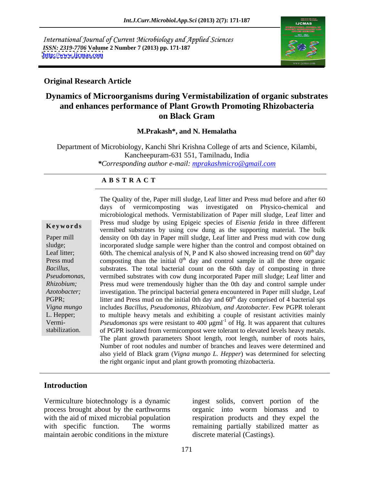International Journal of Current Microbiology and Applied Sciences *ISSN: 2319-7706* **Volume 2 Number 7 (2013) pp. 171-187 <http://www.ijcmas.com>**



### **Original Research Article**

# **Dynamics of Microorganisms during Vermistabilization of organic substrates and enhances performance of Plant Growth Promoting Rhizobacteria on Black Gram**

### **M.Prakash\*, and N. Hemalatha**

Department of Microbiology, Kanchi Shri Krishna College of arts and Science, Kilambi, Kancheepuram-631 551, Tamilnadu, India *\*Corresponding author e-mail: mprakashmicro@gmail.com*

### **A B S T R A C T**

**Keywords** Fitting The results of the substrates by using the support of the supporting material. The bulk vermibed substrates by using cow dung as the supporting material. The bulk Paper mill density on 0th day in Paper mill sludge, Leaf litter and Press mud with cow dung sludge; incorporated sludge sample were higher than the control and compost obtained on Leaf litter; 60th. The chemical analysis of N, P and K also showed increasing trend on  $60<sup>th</sup>$  day Press mud composting than the initial  $0<sup>th</sup>$  day and control sample in all the three organic *Bacillus,*  substrates. The total bacterial count on the 60th day of composting in three *Pseudomonas,*  vermibed substrates with cow dung incorporated Paper mill sludge; Leaf litter and *Rhizobium;* Press mud were tremendously higher than the 0th day and control sample under *Azotobacter;* investigation. The principal bacterial genera encountered in Paper mill sludge, Leaf PGPR; litter and Press mud on the initial 0th day and  $60<sup>th</sup>$  day comprised of 4 bacterial sps *Vigna mungo*  includes *Bacillus, Pseudomonas, Rhizobium, and Azotobacter*. Few PGPR tolerant L. Hepper; to multiple heavy metals and exhibiting a couple of resistant activities mainly Vermi-<br> *Pseudomonas* sps were resistant to 400 µgml<sup>-1</sup> of Hg. It was apparent that cultures stabilization. of PGPR isolated from vermicompost were tolerant to elevated levels heavy metals. The Quality of the, Paper mill sludge, Leaf litter and Press mud before and after 60 days of vermicomposting was investigated on Physico-chemical and microbiological methods. Vermistabilization of Paper mill sludge, Leaf litter and Press mud sludge by using Epigeic species of *Eisenia fetida* in three different The plant growth parameters Shoot length, root length, number of roots hairs, Number of root nodules and number of branches and leaves were determined and also yield of Black gram (*Vigna mungo L. Hepper*) was determined for selecting the right organic input and plant growth promoting rhizobacteria.

## **Introduction**

Vermiculture biotechnology is a dynamic ingest solids, convert portion of the maintain aerobic conditions in the mixture

process brought about by the earthworms organic into worm biomass and to with the aid of mixed microbial population respiration products and they expel the with specific function. The worms remaining partially stabilized matter as discrete material (Castings).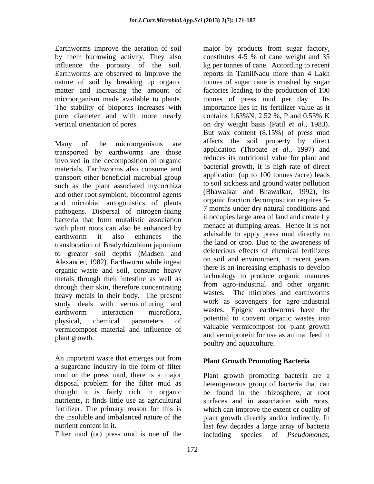Earthworms improve the aeration of soil major by products from sugar factory, microorganism made available to plants. The tonnes of press mud per day. Its The stability of biopores increases with pore diameter and with more nearly contains 1.63% N, 2.52 %, P and 0.55% K

transported by earthworms are those involved in the decomposition of organic materials. Earthworms also consume and transport other beneficial microbial group such as the plant associated mycorrhiza and other root symbiont, biocontrol agents and microbial antogonistics of plants pathogens. Dispersal of nitrogen-fixing with plant roots can also be enhanced by to greater soil depths (Madsen and Alexander, 1982). Earthworm while ingest organic waste and soil, consume heavy metals through their intestine as well as through their skin, therefore concentrating heavy metals in their body. The present study deals with vermiculturing and vermicompost material and influence of

An important waste that emerges out from **Plant Growth Promoting Bacteria** a sugarcane industry in the form of filter

Filter mud (or) press mud is one of the including

by their burrowing activity. They also constitutes 4-5 % of cane weight and 35 influence the porosity of the soil. kg per tonnes of cane. According to recent Earthworms are observed to improve the reports in TamilNadu more than 4 Lakh nature of soil by breaking up organic tonnes of sugar cane is crushed by sugar matter and increasing the amount of factories leading to the production of 100 vertical orientation of pores. on dry weight basis (Patil *et al.,* 1983). Many of the microorganisms are allects the soil property by direct bacteria that form mutalistic association because the commutalistic association earthworm it also enhances the division to apply press mud directly to translocation of Bradyrhizobium japonium and the land or crop. Due to the awareness of earthworm interaction microflora, wastes Epigeic earthworms have the physical, chemical parameters of potential to convent organic wastes into plant growth. and vermiprotein for use as animal feed in tonnes of press mud per day. importance lies in its fertilizer value as it contains 1.63%N, 2.52 %, P and 0.55% K But wax content (8.15%) of press mud affects the soil property by direct application (Thopate *et al*., 1997) and reduces its nutritional value for plant and bacterial growth, it is high rate of direct application (up to 100 tonnes /acre) leads to soil sickness and ground water pollution (Bhawalkar and Bhawalkar, 1992), its organic fraction decomposition requires 5- 7 months under dry natural conditions and it occupies large area of land and create fly menace at dumping areas. Hence it is not advisable to apply press mud directly to the land or crop. Due to the awareness of deleterious effects of chemical fertilizers on soil and environment, in recent years there is an increasing emphasis to develop technology to produce organic manures from agro-industrial and other organic wastes. The microbes and earthworms work as scavengers for agro-industrial wastes. Epigeic earthworms have the valuable vermicompost for plant growth poultry and aquaculture.

# **Plant Growth Promoting Bacteria**

mud or the press mud, there is a major Plant growth promoting bacteria are a disposal problem for the filter mud as heterogeneous group of bacteria that can thought it is fairly rich in organic be found in the rhizosphere, at root nutrients, it finds little use as agricultural surfaces and in association with roots, fertilizer. The primary reason for this is which can improve the extent or quality of the insoluble and imbalanced nature of the plant growth directly and/or indirectly. In nutrient content in it. last few decades a large array of bacteria species of *Pseudomonas*,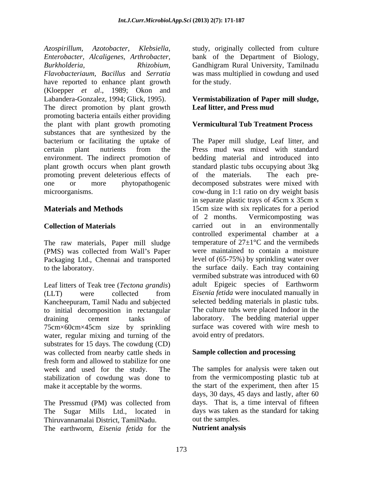*Azospirillum, Azotobacter, Klebsiella,* study, originally collected from culture *Enterobacter, Alcaligenes, Arthrobacter,* bank of the Department of Biology, *Burkholderia, Rhizobium,* Gandhigram Rural University, Tamilnadu *Flavobacteriaum, Bacillus* and *Serratia* was mass multiplied in cowdung and used have reported to enhance plant growth for the study. (Kloepper *et al*., 1989; Okon and Labandera-Gonzalez, 1994; Glick, 1995). **Vermistabilization of Paper mill sludge,**  The direct promotion by plant growth **Leaf litter, and Press mud** promoting bacteria entails either providing the plant with plant growth promoting substances that are synthesized by the bacterium or facilitating the uptake of The Paper mill sludge, Leaf litter, and certain plant nutrients from the Press mud was mixed with standard environment. The indirect promotion of plant growth occurs when plant growth standard plastic tubs occupying about 3kg promoting prevent deleterious effects of of the materials. The each preone or more phytopathogenic decomposed substrates were mixed with

The raw materials, Paper mill sludge (PMS) was collected from Wall's Paper Packaging Ltd., Chennai and transported

Leaf litters of Teak tree (*Tectona grandis*) Kancheepuram, Tamil Nadu and subjected to initial decomposition in rectangular 75cm×60cm×45cm size by sprinkling water, regular mixing and turning of the substrates for 15 days. The cowdung (CD) was collected from nearby cattle sheds in fresh form and allowed to stabilize for one week and used for the study. The The samples for analysis were taken out stabilization of cowdung was done to make it acceptable by the worms. the start of the experiment, then after 15

The Pressmud (PM) was collected from Thiruvannamalai District, TamilNadu. The earthworm, *Eisenia fetida* for the

for the study.

# **Leaf litter, and Press mud**

### **Vermicultural Tub Treatment Process**

microorganisms. cow-dung in 1:1 ratio on dry weight basis **Materials and Methods** 15cm size with six replicates for a period **Collection of Materials** carried out in an environmentally to the laboratory. the surface daily. Each tray containing (LLT) were collected from *Eisenia fetida* were inoculated manually in draining cement tanks of laboratory. The bedding material upper Press mud was mixed with standard bedding material and introduced into of the materials. The each pre in separate plastic trays of 45cm x 35cm x of 2 months. Vermicomposting was controlled experimental chamber at a temperature of  $27\pm1\degree C$  and the vermibeds were maintained to contain a moisture level of (65-75%) by sprinkling water over vermibed substrate was introduced with 60 adult Epigeic species of Earthworm *Eisenia fetida* were inoculated manually in selected bedding materials in plastic tubs. The culture tubs were placed Indoor in the surface was covered with wire mesh to avoid entry of predators.

### **Sample collection and processing**

The Sugar Mills Ltd., located in days was taken as the standard for taking from the vermicomposting plastic tub at days, 30 days, 45 days and lastly, after 60 days. That is, a time interval of fifteen out the samples.

### **Nutrient analysis**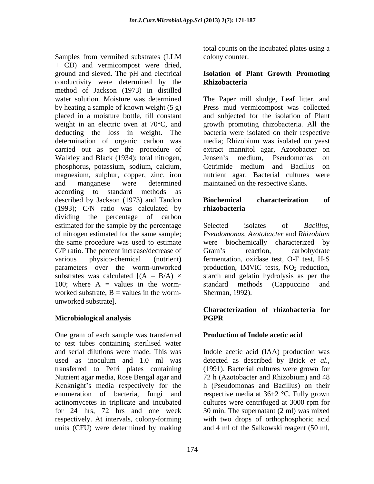Samples from vermibed substrates (LLM colony counter. + CD) and vermicompost were dried, ground and sieved. The pH and electrical **Isolation of Plant Growth Promoting** conductivity were determined by the **Rhizobacteria** method of Jackson (1973) in distilled water solution. Moisture was determined The Paper mill sludge, Leaf litter, and by heating a sample of known weight (5 g) Press mud vermicompost was collected placed in a moisture bottle, till constant and subjected for the isolation of Plant weight in an electric oven at 70°C, and deducting the loss in weight. The determination of organic carbon was media; Rhizobium was isolated on yeast carried out as per the procedure of Walkley and Black (1934); total nitrogen, Jensen's medium, Pseudomonas on phosphorus, potassium, sodium, calcium, magnesium, sulphur, copper, zinc, iron nutrient agar. Bacterial cultures were and manganese were determined maintained on the respective slants. according to standard methods as described by Jackson (1973) and Tandon **Biochemical characterization of** (1993); C/N ratio was calculated by rhizobacteria dividing the percentage of carbon estimated for the sample by the percentage Selected isolates of *Bacillus*, of nitrogen estimated for the same sample; *Pseudomonas, Azotobacter* and *Rhizobium* the same procedure was used to estimate were biochemically characterized by C/P ratio. The percent increase/decrease of Gram's reaction, carbohydrate various physico-chemical (nutrient) fermentation, oxidase test, O-F test, H<sub>2</sub>S parameters over the worm-unworked production, IMViC tests, NO<sub>2</sub> reduction, substrates was calculated  $[(A - B/A) \times$  starch and gelatin hydrolysis as per the 100; where A = values in the worm-<br>standard methods (Cappuccino and worked substrate,  $B =$  values in the wormunworked substrate].

# **Microbiological analysis**

One gram of each sample was transferred to test tubes containing sterilised water and serial dilutions were made. This was Indole acetic acid (IAA) production was used as inoculum and 1.0 ml was detected as described by Brick *et al.,* transferred to Petri plates containing (1991). Bacterial cultures were grown for Nutrient agar media, Rose Bengal agar and Kenknight's media respectively for the enumeration of bacteria, fungi and actinomycetes in triplicate and incubated cultures were centrifuged at 3000 rpm for for 24 hrs, 72 hrs and one week 30 min. The supernatant (2 ml) was mixed respectively. At intervals, colony-forming

total counts on the incubated plates using a colony counter.

# **Rhizobacteria**

growth promoting rhizobacteria. All the bacteria were isolated on their respective extract mannitol agar, Azotobacter on Jensen's medium, Pseudomonas on Cetrimide medium and Bacillus on

### **Biochemical characterization of rhizobacteria**

Selected isolates of *Bacillus, Pseudomonas, Azotobacter* and *Rhizobium* Gram's reaction, carbohydrate standard methods (Cappuccino and Sherman, 1992).

### **Characterization of rhizobacteria for PGPR**

# **Production of Indole acetic acid**

units (CFU) were determined by making and 4 ml of the Salkowski reagent (50 ml,72 h (Azotobacter and Rhizobium) and 48 h (Pseudomonas and Bacillus) on their respective media at 36±2 °C. Fully grown with two drops of orthophosphoric acid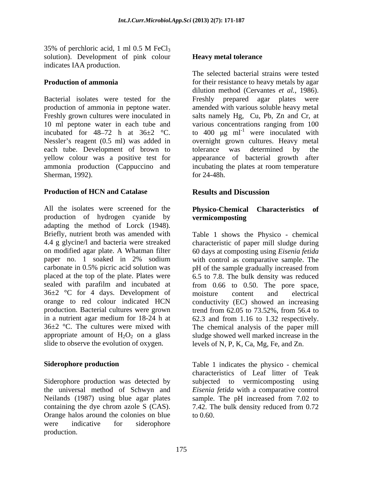35% of perchloric acid, 1 ml  $0.5$  M FeCl<sub>3</sub> solution). Development of pink colour indicates IAA production.

Bacterial isolates were tested for the Freshly prepared agar plates were production of ammonia in peptone water. <br>amended with various soluble heavy metal Freshly grown cultures were inoculated in salts namely Hg, Cu, Pb, Zn and Cr, at 10 ml peptone water in each tube and various concentrations ranging from 100 incubated for 48–72 h at  $36\pm2$  °C. to 400  $\mu$ g ml<sup>-1</sup> were inoculated with Nessler's reagent (0.5 ml) was added in overnight grown cultures. Heavy metal each tube. Development of brown to tolerance was determined by the yellow colour was a positive test for appearance of bacterial growth after ammonia production (Cappuccino and incubating the plates at room temperature Sherman, 1992). **Example 24-48h**.

## **Production of HCN and Catalase**

All the isolates were screened for the **Physico-Chemical Characteristics of** production of hydrogen cyanide by adapting the method of Lorck (1948). Briefly, nutrient broth was amended with Table 1 shows the Physico - chemical 4.4 g glycine/l and bacteria were streaked characteristic of paper mill sludge during on modified agar plate. A Whatman filter 60 days at composting using *Eisenia fetida*  paper no. 1 soaked in 2% sodium with control as comparative sample. The carbonate in 0.5% picric acid solution was pH of the sample gradually increased from placed at the top of the plate. Plates were 6.5 to 7.8. The bulk density was reduced sealed with parafilm and incubated at from 0.66 to 0.50. The pore space,  $36\pm2$  °C for 4 days. Development of moisture content and electrical orange to red colour indicated HCN conductivity (EC) showed an increasing production. Bacterial cultures were grown trend from 62.05 to 73.52%, from 56.4 to in a nutrient agar medium for 18-24 h at 62.3 and from 1.16 to 1.32 respectively. 36±2 °C. The cultures were mixed with The chemical analysis of the paper mill appropriate amount of  $H_2O_2$  on a glass sludge showed well marked increase in the

Neilands (1987) using blue agar plates sample. The pH increased from 7.02 to Orange halos around the colonies on blue were indicative for siderophore production.

### **Heavy metal tolerance**

**Production of ammonia** for their resistance to heavy metals by agar The selected bacterial strains were tested dilution method (Cervantes *et al.*, 1986).<br>Freshly prepared agar plates were were inoculated with tolerance was determined by the  $for 24-48h.$ 

# **Results and Discussion**

# **vermicomposting**

slide to observe the evolution of oxygen. levels of N, P, K, Ca, Mg, Fe, and Zn. moisture content and electrical

**Siderophore production** Table 1 indicates the physico - chemical Siderophore production was detected by subjected to vermicomposting using the universal method of Schwyn and *Eisenia fetida* with a comparative control containing the dye chrom azole S  $(CAS)$ . 7.42. The bulk density reduced from 0.72 characteristics of Leaf litter of Teak sample. The pH increased from 7.02 to to 0.60.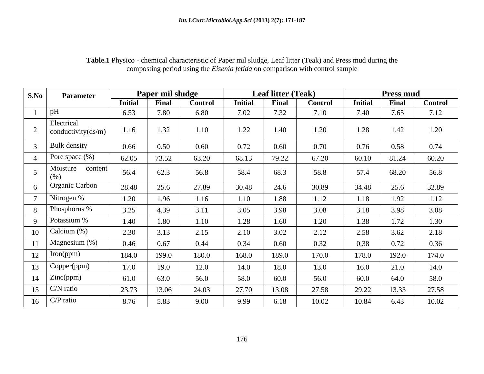| S.No     | <b>Parameter</b>                    |                | Paper mil sludge |                |                | <b>Leaf litter (Teak)</b> |                |                | <b>Press mud</b> |                |
|----------|-------------------------------------|----------------|------------------|----------------|----------------|---------------------------|----------------|----------------|------------------|----------------|
|          |                                     | <b>Initial</b> | Final            | <b>Control</b> | <b>Initial</b> | Final                     | <b>Control</b> | <b>Initial</b> | Final            | <b>Control</b> |
|          | pH                                  | 6.53           | 7.80             | 6.80           | 7.02           | 7.32                      | 7.10           | 7.40           | 7.65             | 7.12           |
|          | Electrical<br>conductivity $(ds/m)$ | 1.16           | 1.32             | 1.10           | 1.22           | 1.40                      | 1.20           | 1.28           | 1.42             | 1.20           |
|          | <b>Bulk</b> density                 | 0.66           | 0.50             | 0.60           | 0.72           | 0.60                      | 0.70           | 0.76           | 0.58             | 0.74           |
|          | Pore space $(\%)$                   | 62.05          | 73.52            | 63.20          | 68.13          | 79.22                     | 67.20          | 60.10          | 81.24            | 60.20          |
|          | Moisture<br>content<br>(% )         | 56.4           | 62.3             | 56.8           | 58.4           | 68.3                      | 58.8           | 57.4           | 68.20            | 56.8           |
|          | <sup>1</sup> Organic Carbon         | 28.48          | 25.6             | 27.89          | 30.48          | 24.6                      | 30.89          | 34.48          | 25.6             | 32.89          |
|          | Nitrogen %                          | 1.20           | 1.96             | 1.16           | 1.10           | 1.88                      | .12            | 1.18           | 1.92             | 1.12           |
|          | Phosphorus %                        | 3.25           | 4.39             | 3.11           | 3.05           | 3.98                      | 3.08           | 3.18           | 3.98             | 3.08           |
| $\Omega$ | Potassium %                         | 1.40           | 1.80             | 1.10           | 1.28           | 1.60                      | 1.20           | 1.38           | 1.72             | 1.30           |
| 10       | Calcium (%)                         | 2.30           | 3.13             | 2.15           | 2.10           | 3.02                      | 2.12           | 2.58           | 3.62             | 2.18           |
| 11       | Magnesium (%)                       | 0.46           | 0.67             | 0.44           | 0.34           | 0.60                      | 0.32           | 0.38           | 0.72             | 0.36           |
| 12       | Iron(ppm)                           | 184.0          | 199.0            | 180.0          | 168.0          | 189.0                     | 170.0          | 178.0          | 192.0            | 174.0          |
| 13       | Copper(ppm)                         | 17.0           | 19.0             | 12.0           | 14.0           | 18.0                      | 13.0           | 16.0           | 21.0             | 14.0           |
| 14       | $\mid$ Zinc(ppm)                    | 61.0           | 63.0             | 56.0           | 58.0           | 60.0                      | 56.0           | 60.0           | 64.0             | 58.0           |
| 15       | $C/N$ ratio                         | 23.73          | 13.06            | 24.03          | 27.70          | 13.08                     | 27.58          | 29.22          | 13.33            | 27.58          |
| 16       | $C/P$ ratio                         | 8.76           | 5.83             | 9.00           | 9.99           | 6.18                      | 10.02          | 10.84          | 6.43             | 10.02          |

# **Table.1** Physico - chemical characteristic of Paper mil sludge, Leaf litter (Teak) and Press mud during the composting period using the *Eisenia fetida* on comparison with control sample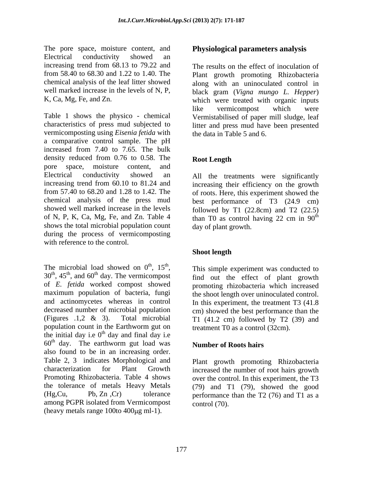The pore space, moisture content, and Electrical conductivity showed an increasing trend from 68.13 to 79.22 and well marked increase in the levels of N, P,

Table 1 shows the physico - chemical characteristics of press mud subjected to litter and press mud have been presented vermicomposting using *Eisenia fetida* with a comparative control sample. The pH increased from 7.40 to 7.65. The bulk density reduced from 0.76 to 0.58. The Root Length pore space, moisture content, and Electrical conductivity showed an All the treatments were significantly increasing trend from 60.10 to 81.24 and increasing their efficiency on the growth from 57.40 to 68.20 and 1.28 to 1.42. The of roots. Here, this experiment showed the chemical analysis of the press mud best performance of T3 (24.9 cm) showed well marked increase in the levels followed by T1 (22.8cm) and T2 (22.5) of N, P, K, Ca, Mg, Fe, and Zn. Table 4 than T0 as control having 22 cm in  $90<sup>th</sup>$ shows the total microbial population count during the process of vermicomposting with reference to the control.

The microbial load showed on  $0^{\text{th}}$ ,  $15^{\text{th}}$ , This simple experiment was conducted to The microbial load showed on  $0^{\text{th}}$ ,  $15^{\text{th}}$ , This simple experiment was conducted to  $30^{\text{th}}$ ,  $45^{\text{th}}$ , and  $60^{\text{th}}$  day. The vermicompost find out the effect of plant growth  $30^{\text{th}}$ ,  $45^{\text{th}}$ , and  $60^{\text{th}}$  day. The vermicompost of *E. fetida* worked compost showed maximum population of bacteria, fungi the shoot length over uninoculated control. and actinomycetes whereas in control In this experiment, the treatment T3 (41.8 decreased number of microbial population cm) showed the best performance than the (Figures .1,2 & 3). Total microbial T1 (41.2 cm) followed by T2 (39) and population count in the Earthworm gut on the initial day i.e  $0<sup>th</sup>$  day and final day i.e  $\mu$  day and final day i.e  $60<sup>th</sup>$  day. The earthworm gut load was **Number of Roots hairs** also found to be in an increasing order. Table 2, 3 indicates Morphological and characterization for Plant Growth increased the number of root hairs growth Promoting Rhizobacteria. Table 4 shows over the control. In this experiment, the T3 the tolerance of metals Heavy Metals (79) and T1 (79), showed the good (Hg,Cu, Pb, Zn ,Cr) tolerance performance than the T2 (76) and T1 as a among PGPR isolated from Vermicompost (heavy metals range  $100$  to  $400 \mu$ g ml $-1$ ).

## **Physiological parameters analysis**

from 58.40 to 68.30 and 1.22 to 1.40. The Plant growth promoting Rhizobacteria chemical analysis of the leaf litter showed along with an uninoculated control in K, Ca, Mg, Fe, and Zn. which were treated with organic inputs The results on the effect of inoculation of black gram (*Vigna mungo L. Hepper*) like vermicompost which were Vermistabilised of paper mill sludge, leaf the data in Table 5 and 6.

# **Root Length**

th day of plant growth.

# **Shoot length**

th  $1.5$ <sup>th</sup>  $\ldots$   $\ldots$   $\ldots$   $\ldots$   $\ldots$ the  $\pi$  is the set of  $\pi$  is the set of  $\pi$  $, 45<sup>th</sup>$ , and  $60<sup>th</sup>$  day. The vermicompost find out the effect of plant growth promoting rhizobacteria which increased treatment T0 as a control (32cm).

### **Number of Roots hairs**

Plant growth promoting Rhizobacteria control (70).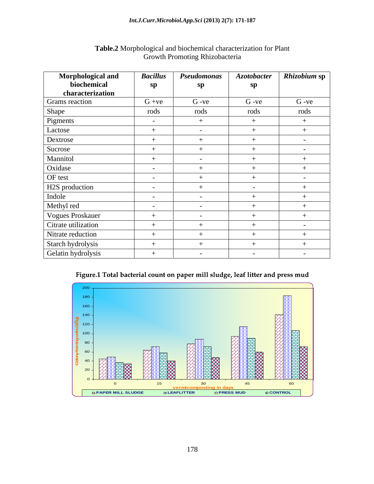### *Int.J.Curr.Microbiol.App.Sci* **(2013) 2(7): 171-187**

|                                                                                                                 |                       | Table.2 Morphological and biochemical characterization for Plant<br>Growth Promoting Rhizobacteria |                                   |                         |
|-----------------------------------------------------------------------------------------------------------------|-----------------------|----------------------------------------------------------------------------------------------------|-----------------------------------|-------------------------|
| Morphological and<br>biochemical<br>characterization                                                            | <b>Bacillus</b><br>sp | Pseudomonas<br>sp                                                                                  | $A$ zotobacter<br>sp              | Rhizobium sp            |
| <b>Grams</b> reaction                                                                                           | $G +ve$               | $G -ve$                                                                                            | $G -ve$                           | $G -ve$                 |
| Shape                                                                                                           | rods                  | rods                                                                                               | rods                              | rods                    |
| Pigments                                                                                                        | $\sim$                | $+$                                                                                                | $+$                               | $+$                     |
| Lactose                                                                                                         | $+$                   | $\sim$ $-$                                                                                         | $+$                               | $+$                     |
| Dextrose                                                                                                        | $+$                   |                                                                                                    | $+$                               | $\sim$ $-$              |
| Sucrose                                                                                                         | $+$                   | $+$                                                                                                | $+$                               | $\sim$ $-$              |
| Mannitol                                                                                                        | $+$                   | $\sim$                                                                                             | $+$                               | $+$                     |
| Oxidase                                                                                                         | $\sim$                |                                                                                                    | $+$                               | $+$                     |
| OF test                                                                                                         | $\sim$ $ \sim$        |                                                                                                    | $+$                               | $\sim$ $ \sim$          |
| H2S production                                                                                                  | $\sim$ $ \sim$        |                                                                                                    | $\sim$                            | $+$                     |
| Indole                                                                                                          | $\sim 100$            | $\sim$ $ \sim$                                                                                     | $+$                               | $+$                     |
| Methyl red                                                                                                      | $\sim$ $ \sim$        | $\sim$ $-$                                                                                         | $+$                               | $+$                     |
| Vogues Proskauer                                                                                                | $+$                   | $\sim$ $-$                                                                                         | $+$                               | $+$                     |
| Citrate utilization                                                                                             | $+$                   |                                                                                                    | $+$                               | $\sim$                  |
| Nitrate reduction                                                                                               | $+$                   |                                                                                                    | $+$                               | $+$                     |
| Starch hydrolysis                                                                                               | $+$                   |                                                                                                    | $+$                               | $+$                     |
| Gelatin hydrolysis                                                                                              |                       | $\sim$                                                                                             | $\sim$                            | $\sim$                  |
| 200<br>-180<br>160<br>140<br>$\sum_{1}^{120}$<br>$\frac{1}{3}$ 100<br>80 <sub>1</sub><br>60<br>$40 -$<br>$20 -$ |                       | Figure.1 Total bacterial count on paper mill sludge, leaf litter and press mud<br>圈                | Ŝ                                 | <b>PROPERTY</b><br>RZN. |
|                                                                                                                 | 15                    | 30 <sup>°</sup>                                                                                    | 45                                | 60                      |
| D PAPER MILL SLUDGE                                                                                             |                       | <b>Example 1</b><br>The LEAFLITTER                                                                 | <u>ing in days</u><br>□ PRESS MUD | <b>E CONTROL</b>        |

# Growth Promoting Rhizobacteria

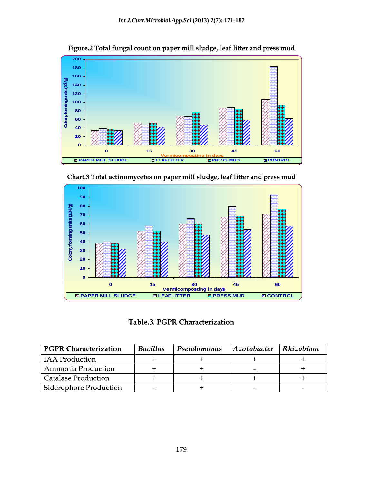

Figure.2 Total fungal count on paper mill sludge, leaf litter and press mud



Chart.3 Total actinomycetes on paper mill sludge, leaf litter and press mud

Table.3. PGPR Characterization

| <b>PGPR Characterization</b>  | <b>Bacillus</b> | Pseudomonas | $ $ Azotobacter | $\vert$ Rhizobium |
|-------------------------------|-----------------|-------------|-----------------|-------------------|
| <b>IAA</b> Production         |                 |             |                 |                   |
| Ammonia Production            |                 |             |                 |                   |
| <b>Catalase Production</b>    |                 |             |                 |                   |
| <b>Siderophore Production</b> |                 |             |                 |                   |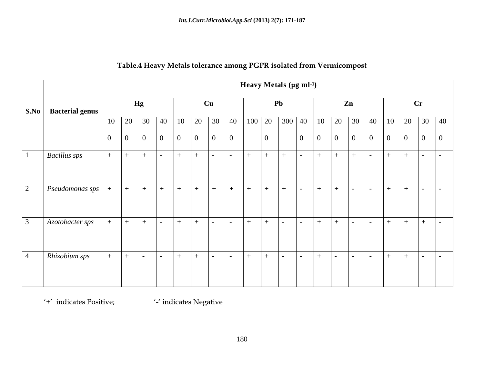|                                      |              |          |     |                           |     |     |                                                 |                                                      |     |                | Heavy Metals (µg ml-1)        |                                                                     |                     |                 |                               |     |                 |                                                               |
|--------------------------------------|--------------|----------|-----|---------------------------|-----|-----|-------------------------------------------------|------------------------------------------------------|-----|----------------|-------------------------------|---------------------------------------------------------------------|---------------------|-----------------|-------------------------------|-----|-----------------|---------------------------------------------------------------|
| S.No   Bacterial genus               |              | Hg       |     |                           |     | Cu  |                                                 |                                                      |     |                | <b>Pb</b>                     |                                                                     |                     | Zn              |                               |     | $\mathbf{C}$ r  |                                                               |
|                                      |              |          |     |                           |     |     |                                                 |                                                      |     |                |                               |                                                                     |                     |                 |                               |     |                 | 10 20 30 40 10 20 30 40 100 20 300 40 10 20 30 40 10 20 30 40 |
|                                      |              | <u>v</u> |     |                           |     |     | $\overline{0}$<br>$\vert 0 \vert$               |                                                      |     | $\overline{0}$ |                               | $\overline{0}$                                                      |                     |                 |                               |     |                 |                                                               |
| <b>Bacillus</b> sps                  | $+$          | $+$      | $+$ | $\sim$ 100 $\mu$          | $+$ | $+$ | $\sim$ $\sim$                                   | $\sim$ $-$                                           | $+$ | $+$            | $+$                           | $\sim$ 100 $\mu$                                                    |                     | $  +   +   +  $ | $\sim$ $ \sim$                | $+$ | $+$             |                                                               |
|                                      |              |          |     |                           |     |     |                                                 |                                                      |     |                |                               |                                                                     |                     |                 |                               |     |                 |                                                               |
| $\mid$ Pseudomonas sps $\mid + \mid$ |              |          |     |                           |     |     | +  +  +  +  +  +  +  +                          |                                                      |     | $+$            | $+$ $-$                       | $\mathbf{u}^{\prime} = \mathbf{u}^{\prime}$ , $\mathbf{u}^{\prime}$ | $+$ $+$             | $\mathbf{r}$    | $\sim$                        | $+$ | $+$             | $\mathbf{L} = \mathbf{L} \times \mathbf{L}$                   |
|                                      |              |          |     |                           |     |     |                                                 |                                                      |     |                |                               |                                                                     |                     |                 |                               |     |                 |                                                               |
| Azotobacter sps                      |              |          |     | $+$ $+$ $  +$ $+$         |     |     | $\vert - \vert - \vert + \vert + \vert + \vert$ |                                                      |     |                | $1 - 1 - 1 + 1 + 1 -$         |                                                                     |                     |                 | $\mathbf{I}$ and $\mathbf{I}$ |     | $  +   +   +  $ |                                                               |
|                                      |              |          |     |                           |     |     |                                                 |                                                      |     |                |                               |                                                                     |                     |                 |                               |     |                 |                                                               |
| Rhizobium sps                        | $+$ $\qquad$ | $+$      |     | $\mathbf{I} = \mathbf{I}$ | $+$ | $+$ | $\sim$ $-$                                      | $\left  \begin{array}{cc} - & \end{array} \right  +$ |     | $+$            | $\mathbf{I}$ and $\mathbf{I}$ | $+$<br><b>Contract Contract</b>                                     | and the contract of | $\mathbf{I}$    | $\sim$                        | $+$ | $+$             | $\blacksquare$                                                |
|                                      |              |          |     |                           |     |     |                                                 |                                                      |     |                |                               |                                                                     |                     |                 |                               |     |                 |                                                               |

'+' indicates Positive;

'-' indicates Negative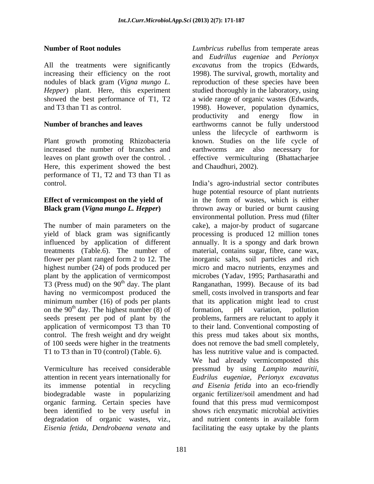### **Number of Root nodules** *Lumbricus rubellus* from temperate areas

All the treatments were significantly *excavatus* from the tropics (Edwards, increasing their efficiency on the root 1998). The survival, growth, mortality and nodules of black gram (*Vigna mungo L.* reproduction of these species have been *Hepper*) plant. Here, this experiment showed the best performance of T1, T2 a wide range of organic wastes (Edwards, and T3 than T1 as control. 1998). However, population dynamics,

Plant growth promoting Rhizobacteria known. Studies on the life cycle of increased the number of branches and earthworms are also necessary for leaves on plant growth over the control. . . . . . . effective vermiculturing (Bhattacharjee Here, this experiment showed the best performance of T1, T2 and T3 than T1 as control. India s agro-industrial sectorcontributes

highest number (24) of pods produced per control. The fresh weight and dry weight

organic farming. Certain species have degradation of organic wastes, viz., and nutrient contents in available form

**Number of branches and leaves** earthworms cannot be fully understood and *Eudrillus eugeniae* and *Perionyx*  studied thoroughly in the laboratory, using productivity and energy flow in unless the lifecycle of earthworm is and Chaudhuri, 2002).

*Lumbricus rubellus* from temperate areas

**Effect of vermicompost on the yield of**  in the form of wastes, which is either **Black gram (***Vigna mungo L. Hepper***)** thrown away or buried or burnt causing The number of main parameters on the cake), a major-by product of sugarcane yield of black gram was significantly processing is produced 12 million tones influenced by application of different annually. It is a spongy and dark brown treatments (Table.6). The number of material, contains sugar, fibre, cane wax, flower per plant ranged form 2 to 12. The inorganic salts, soil particles and rich plant by the application of vermicompost microbes (Yadav, 1995; Parthasarathi and T3 (Press mud) on the  $90<sup>th</sup>$  day. The plant Ranganathan, 1999). Because of its bad having no vermicompost produced the smell, costs involved in transports and fear minimum number (16) of pods per plants that its application might lead to crust on the  $90<sup>th</sup>$  day. The highest number (8) of formation, pH variation, pollution seeds present per pod of plant by the problems, farmers are reluctant to apply it application of vermicompost T3 than T0 to their land. Conventional composting of of 100 seeds were higher in the treatments doesnot remove the bad smell completely, T1 to T3 than in T0 (control) (Table. 6). has less nutritive value and is compacted. Vermiculture has received considerable pressmud by using *Lampito mauritii*, attention in recent years internationally for *Eudrilus eugeniae, Perionyx excavatus* its immense potential in recycling *and Eisenia fetida* into an eco-friendly biodegradable waste in popularizing organic fertilizer/soil amendmentand had been identified to be very useful in shows rich enzymatic microbial activities *Eisenia fetida, Dendrobaena venata* and facilitating the easy uptake by the plantshuge potential resource of plant nutrients environmental pollution. Press mud (filter micro and macro nutrients, enzymes and formation, pH variation, pollution this press mud takes about six months, We had already vermicomposted this found that this press mud vermicompost and nutrient contents in available form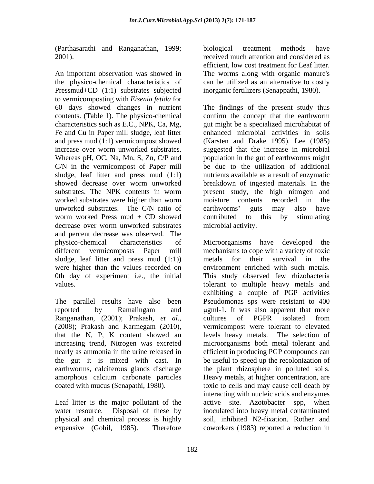(Parthasarathi and Ranganathan, 1999;

An important observation was showed in The worms along with organic manure's the physico-chemical characteristics of can be utilized as an alternative to costly Pressmud+CD (1:1) substrates subjected to vermicomposting with *Eisenia fetida* for contents. (Table 1). The physico-chemical confirm the concept that the earthworm characteristics such as E.C., NPK, Ca, Mg, Fe and Cu in Paper mill sludge, leaf litter Whereas pH, OC, Na, Mn, S, Zn, C/P and C/N in the vermicompost of Paper mill worm worked Press mud  $+$  CD showed contributed to this by stimulating decrease over worm unworked substrates and percent decrease was observed. The sludge, leaf litter and press mud  $(1:1)$  metals for their survival in the were higher than the values recorded on

earthworms, calciferous glands discharge the plant rhizosphere in polluted soils. amorphous calcium carbonate particles

Leaf litter is the major pollutant of the active site. Azotobacter spp, when expensive (Gohil, 1985). Therefore coworkers (1983) reported a reduction in

2001). received much attention and considered as biological treatment methods have efficient, low cost treatment for Leaf litter. inorganic fertilizers (Senappathi, 1980).

60 days showed changes in nutrient The findings of the present study thus and press mud (1:1) vermicompost showed (Karsten and Drake 1995). Lee (1985) increase over worm unworked substrates. suggested that the increase in microbial sludge, leaf litter and press mud (1:1) nutrients available as a result of enzymatic showed decrease over worm unworked breakdown of ingested materials. In the substrates. The NPK contents in worm present study, the high nitrogen and worked substrates were higher than worm moisture contents recorded in the unworked substrates. The C/N ratio of earthworms' guts may also have confirm the concept that the earthworm gut might be a specialized microhabitat of enhanced microbial activities in soils population in the gut of earthworms might be due to the utilization of additional moisture contents recorded in the earthworms' guts may also have contributed to this by stimulating microbial activity.

physico-chemical characteristics of Microorganisms have developed the different vermicomposts Paper mill mechanisms to cope with a variety of toxic 0th day of experiment i.e., the initial This study observed few rhizobacteria values. tolerant to multiple heavy metals and The parallel results have also been Pseudomonas sps were resistant to 400 reported by Ramalingam and ugml-1. It was also apparent that more Ranganathan, (2001); Prakash, *et al*., cultures of PGPR isolated from<br>(2008); Prakash and Karmegam (2010), vermicompost were tolerant to elevated that the N, P, K content showed an levels heavy metals. The selection of increasing trend, Nitrogen was excreted microorganisms both metal tolerant and nearly as ammonia in the urine released in efficient in producing PGP compounds can the gut it is mixed with cast. In be useful to speed up the recolonization of coated with mucus (Senapathi, 1980). toxic to cells and may cause cell death by water resource. Disposal of these by inoculated into heavy metal contaminated physical and chemical process is highly soil, inhibited N2-fixation. Rother and metals for their survival in the environment enriched with such metals. exhibiting a couple of PGP activities cultures of PGPR isolated from vermicompost were tolerant to elevated the plant rhizosphere in polluted soils. Heavy metals, at higher concentration, are interacting with nucleic acids and enzymes active site. Azotobacter spp, when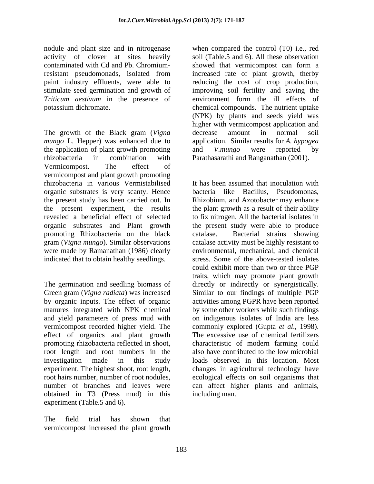nodule and plant size and in nitrogenase when compared the control (T0) i.e., red activity of clover at sites heavily soil (Table.5 and 6). All these observation contaminated with Cd and Pb. Chromium-<br>showed that vermicompost can form a resistant pseudomonads, isolated from increased rate of plant growth, therby paint industry effluents, were able to reducing the cost of crop production, stimulate seed germination and growth of improving soil fertility and saving the *Triticum aestivum* in the presence of potassium dichromate. entitled the chemical compounds. The nutrient uptake

The growth of the Black gram (*Vigna* decrease amount in normal soil *mungo* L. Hepper) was enhanced due to the application of plant growth promoting and V.*mungo* were reported by rhizobacteria in combination with Parathasarathi and Ranganathan (2001). Vermicompost. The effect of vermicompost and plant growth promoting rhizobacteria in various Vermistabilised organic substrates is very scanty. Hence the present study has been carried out. In the present experiment, the results the plant growth as a result of their ability revealed a beneficial effect of selected to fix nitrogen. All the bacterial isolates in organic substrates and Plant growth the present study were able to produce promoting Rhizobacteria on the black catalase. Bacterial strains showing gram (*Vigna mungo*). Similar observations catalase activity must be highly resistant to were made by Ramanathan (1986) clearly indicated that to obtain healthy seedlings.

The germination and seedling biomass of Green gram (*Vigna radiata*) was increased Similar to our findings of multiple PGP by organic inputs. The effect of organic activities among PGPR have been reported manures integrated with NPK chemical and yield parameters of press mud with on indigenous isolates of India are less vermicompost recorded higher yield. The commonly explored (Gupta *et al.*, 1998). effect of organics and plant growth The excessive use of chemical fertilizers promoting rhizobacteria reflected in shoot, characteristic of modern farming could root length and root numbers in the also have contributed to the low microbial investigation made in this study loads observed in this location. Most experiment. The highest shoot, root length, changes in agricultural technology have root hairs number, number of root nodules, ecological effects on soil organisms that number of branches and leaves were can affect higher plants and animals, obtained in T3 (Press mud) in this experiment (Table.5 and 6).

The field trial has shown that vermicompost increased the plant growth

showed that vermicompost can form a increased rate of plant growth, therby reducing the cost of crop production, improving soil fertility and saving the environment form the ill effects of (NPK) by plants and seeds yield was higher with vermicompost application and decrease amount in normal soil application. Similar results for *A. hypogea*  and *V.mungo* were reported by

It has been assumed that inoculation with bacteria like Bacillus, Pseudomonas, Rhizobium, and Azotobacter may enhance catalase. Bacterial strains showing environmental, mechanical, and chemical stress. Some of the above-tested isolates could exhibit more than two or three PGP traits, which may promote plant growth directly or indirectly or synergistically. by some other workers while such findings commonly explored (Gupta *et al.*, 1998).<br>The excessive use of chemical fertilizers including man.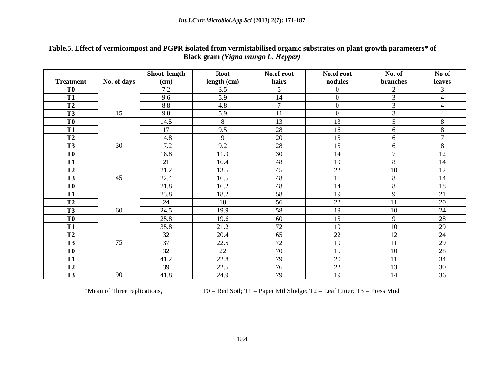| Table.5<br>ext of vermicompost and PGPR isolated from vermistabilised organic substrates on plant growth parameters* of<br>. Effect |
|-------------------------------------------------------------------------------------------------------------------------------------|
| <b>Black</b><br>k gram (Vigna mungo L. Hepper)                                                                                      |

|                  |             | Shoot length | Root        | No.of root     | No.of root | No. of         | No of          |
|------------------|-------------|--------------|-------------|----------------|------------|----------------|----------------|
| <b>Treatment</b> | No. of days | (cm)         | length (cm) | hairs          | nodules    | branches       | leaves         |
| T0               |             | 7.2          | 3.5         | $\sim$         | $\theta$   | $\bigcap$      |                |
| <b>T1</b>        |             | 9.6          | 5.9         | 14             | $\Omega$   |                |                |
| <b>T2</b>        |             | 8.8          | 4.8         | $\overline{a}$ | $\Omega$   |                |                |
| <b>T3</b>        | 15          | 9.8          | 5.9         | <sup>11</sup>  | $\theta$   | $\sim$         |                |
| T0               |             | 14.5         |             | 13             | 13         |                |                |
| <b>T1</b>        |             | 17           | 9.5         | 28             | 16         |                |                |
| T2               |             | 14.8         | $\Omega$    | 20             | 15         |                | $\overline{ }$ |
| <b>T3</b>        | 30          | 17.2         | 9.2         | 28             | 15         |                | $\Omega$       |
| T <sub>0</sub>   |             | 18.8         | 11.9        | 30             | 14         | $\overline{ }$ | 12             |
| <b>T1</b>        |             | 21           | 16.4        | 48             | 19         | $\Omega$       | 14             |
| T2               |             | 21.2         | 13.5        | 45             | 22         | 10             | 12             |
| <b>T3</b>        | 45          | 22.4         | 16.5        | 48             | 16         |                | 14             |
| <b>TO</b>        |             | 21.8         | 16.2        | 48             | 14         |                | 18             |
| <b>T1</b>        |             | 23.8         | 18.2        | 58             | 19         |                | 21             |
| <b>T2</b>        |             | 24           | 18          | 56             | 22         | 11             | 20             |
| <b>T3</b>        | 60          | 24.5         | 19.9        | 58             | 19         | 10             | 24             |
| T <sub>0</sub>   |             | 25.8         | 19.6        | 60             | 15         | $\Omega$       | 28             |
| <b>T1</b>        |             | 35.8         | 21.2        | 72             | 19         | 10             | 29             |
| <b>T2</b>        |             | 32           | 20.4        | 65             | 22         | 12             | 24             |
| <b>T3</b>        | 75          | 37           | 22.5        | 72             | 19         | 11             | 29             |
| <b>TO</b>        |             | 32           | 22          | 70             | 15         | 10             | 28             |
| <b>T1</b>        |             | 41.2         | 22.8        | 79             | 20         | -11            | 34             |
| <b>T2</b>        |             | 39           | 22.5        | 76             | 22         | 13             | 30             |
| <b>T3</b>        | 90          | 41.8         | 24.9        | 79             | 19         | 14             | 36             |

\*Mean of Three replications,  $T0 = Red Soil$ ; T1 = Paper Mil Sludge; T2 = Leaf Litter; T3 = Press Mud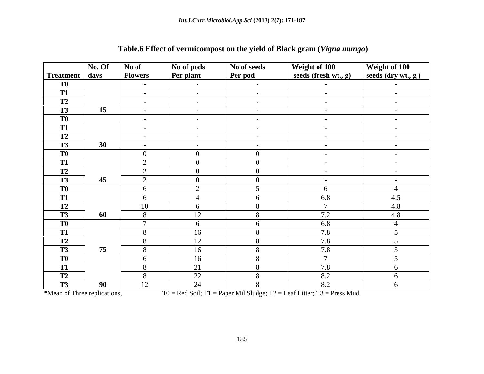|                  | No. Of | No of                                 | No of pods       | No of seeds     | Weight of 100           | Weight of 100          |
|------------------|--------|---------------------------------------|------------------|-----------------|-------------------------|------------------------|
| Treatment   days |        | <b>Flowers</b>                        | <b>Per plant</b> | Per pod         | seeds (fresh wt., $g$ ) | seeds (dry wt., g)     |
| T <sub>0</sub>   |        | $\sim$ 100 $\sim$                     | $\sim$ $-$       | $\sim$ $-$      | $\sim$ $ \sim$          | $\sim$ $-$             |
| <b>T1</b>        |        | $\sim$ $-$                            | $\sim$ $ \sim$   | $\sim$ $ \sim$  | $\sim$ $ \sim$          | $\sim 10^{-11}$        |
| <b>T2</b>        |        | $\sim 10^{-10}$                       | $\sim$ $ \sim$   | $\sim$          | $\sim$ $ \sim$          | $\sim$ $ \sim$         |
| T3               | 15     | $\sim$ 100 $\sim$                     | $\sim$ $ \sim$   | $\sim$ $ \sim$  | $\sim$ $-$              |                        |
| T <sub>0</sub>   |        | $\sim$ $ \sim$                        | $\sim$ $ \sim$   | $\sim$          | $\sim$ $ \sim$          | $\sim$                 |
| T1               |        | $\sim$ $-$                            | $\sim$ $-$       | $\sim$ $-$      | $\sim$ $-$              | $\sim$ $-$             |
| <b>T2</b>        |        | $\sim$ $ \sim$                        |                  | $\sim$ $ \sim$  | $\sim$ $ \sim$          | $\sim$ $ \sim$         |
| <b>T3</b>        | 30     | $\sim 100$                            |                  | $\sim$ $ \sim$  | $\sim$ $ \sim$          | $\sim$ $-$             |
| T <sub>0</sub>   |        | $\overline{0}$                        | $\overline{0}$   | $\overline{0}$  | $\sim$ $-$              | $\sim$ $ \sim$         |
| <b>T1</b>        |        | $\bigcap$<br>$\overline{\phantom{0}}$ | $\overline{0}$   | $\overline{0}$  | $\sim$ $-$              | $\sim$ $ \sim$         |
| T2               |        | $\bigcap$<br>∠                        | $\overline{0}$   | $\overline{0}$  | $\sim$ $-$              | $\sim$ $-$             |
| T3               | 45     | $\gamma$<br>$\overline{2}$            | $\overline{0}$   | $\overline{0}$  | $\sim$ $ \sim$          | $\sim$ $-$             |
| T <sub>0</sub>   |        | 6                                     | $\gamma$         | $5\overline{)}$ | 6                       | $\boldsymbol{\Lambda}$ |
| <b>T1</b>        |        | 6                                     | $\overline{4}$   | 6               | 6.8                     | 4.5                    |
| T2               |        | 10                                    | 6                | 8               | $\mathcal{L}$           | 4.8                    |
| T3               | 60     | 8                                     | 12               | 8               | 7.2                     | 4.8                    |
| T <sub>0</sub>   |        | $\mathcal{L}$                         | 6                | 6               | 6.8                     |                        |
| T1               |        | 8                                     | 16               | 8               | 7.8                     | $\leq$                 |
| T2               |        | 8                                     | 12               | 8               | 7.8                     | $\epsilon$             |
| <b>T3</b>        | 75     | 8                                     | 16               | 8               | 7.8                     | $\epsilon$             |
| T <sub>0</sub>   |        | 6                                     | 16               | 8               | $\overline{7}$          | $\leq$                 |
| $T\overline{1}$  |        | 8                                     | 21               | 8               | 7.8                     |                        |
| <b>T2</b>        |        | 8                                     | 22               | 8               | 8.2                     | 6                      |
| <b>T3</b>        | 90     | 12                                    | 24               | 8               | 8.2                     |                        |

# **Table.6 Effect of vermicompost on the yield of Black gram (***Vigna mungo***)**

\*Mean of Three replications,  $T0 = Red Soil$ ; T1 = Paper Mil Sludge; T2 = Leaf Litter; T3 = Press Mud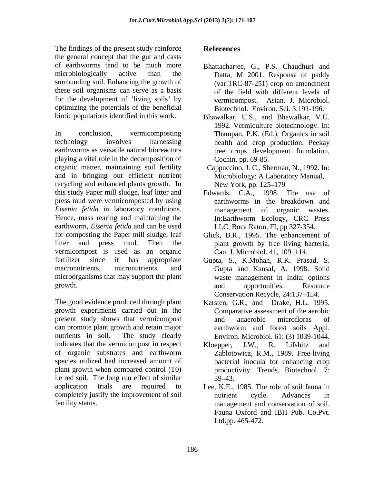The findings of the present study reinforce **References** the general concept that the gut and casts of earthworms tend to be much more Bhattacharjee, G., P.S. Chaudhuri and microbiologically active than the Datta, M 2001. Response of paddy surrounding soil. Enhancing the growth of these soil organisms can serve as a basis for the development of 'living soils' by optimizing the potentials of the beneficial

In conclusion, vermicomposting Thampan, P.K. (Ed.), Organics in soil technology involves harnessing health and crop production. Peekay earthworms as versatile natural bioreactors tree crops development foundation, playing a vital role in the decomposition of organic matter, maintaining soil fertility Cappuccino, J. C., Sherman, N., 1992. In: and in bringing out efficient nutrient recycling and enhanced plants growth. In New York, pp. 125–179 this study Paper mill sludge, leaf litter and press mud were vermicomposted by using *Eisenia fetida* in laboratory conditions. Hence, mass rearing and maintaining the In:Earthworm Ecology, CRC Press earthworm, *Eisenia fetida* and can be used for composting the Paper mill sludge, leaf Glick, B.R., 1995. The enhancement of litter and press mud. Then the plant growth by free living bacteria. vermicompost is used as an organic Can. J. Microbiol. 41, 109–114. fertilizer since it has appropriate Gupta, S., K.Mohan, R.K. Prasad, S. macronutrients, micronutrients and Gupta and Kansal, A. 1998. Solid microorganisms that may support the plant growth. and opportunities. Resource

The good evidence produced through plant Karsten, G.R., and Drake, H.L. 1995. growth experiments carried out in the present study shows that vermicompost can promote plant growth and retain major earthworm and forest soils Appl. nutrients in soil. The study clearly Environ. Microbiol. 61: (3) 1039-1044. indicates that the vermicompost in respect Kloepper, J.W., R. Lifshitz and of organic substrates and earthworm species utilized had increased amount of plant growth when compared control (T0) i.e red soil. The long run effect of similar 39–43. application trials are required to Lee, K.E., 1985. The role of soil fauna in completely justify the improvement of soil

# **References**

- Datta, M 2001. Response of paddy (var.TRC-87-251) crop on amendment of the field with different levels of vermicompost. Asian. J. Microbiol. Biotechnol. Environ. Sci. 3:191-196.
- biotic populations identified in this work. Bhawalkar, U.S., and Bhawalkar, V.U. 1992. Vermiculture biotechnology. In: Cochin, pp. 69-85.
	- Microbiology: A Laboratory Manual, New York, pp. 125–179
	- Edwards, C.A., 1998. The use of earthworms in the breakdown and management of organic wastes. LLC, Boca Raton, FI, pp 327-354.
	-
	- waste management in India: options and opportunities. Resource Conservation Recycle, 24:137-154.
	- Comparative assessment of the aerobic and anaerobic microfloras of earthworm and forest soils Appl.
	- Kloepper, J.W., R. Lifshitz and Zablotowicz, R.M., 1989. Free-living bacterial inocula for enhancing crop productivity. Trends. Biotechnol. 7: 39 43.
- fertility status. management and conservation of soil. nutrient cycle. Advances in Fauna Oxford and IBH Pub. Co.Pvt. Ltd.pp. 465-472.